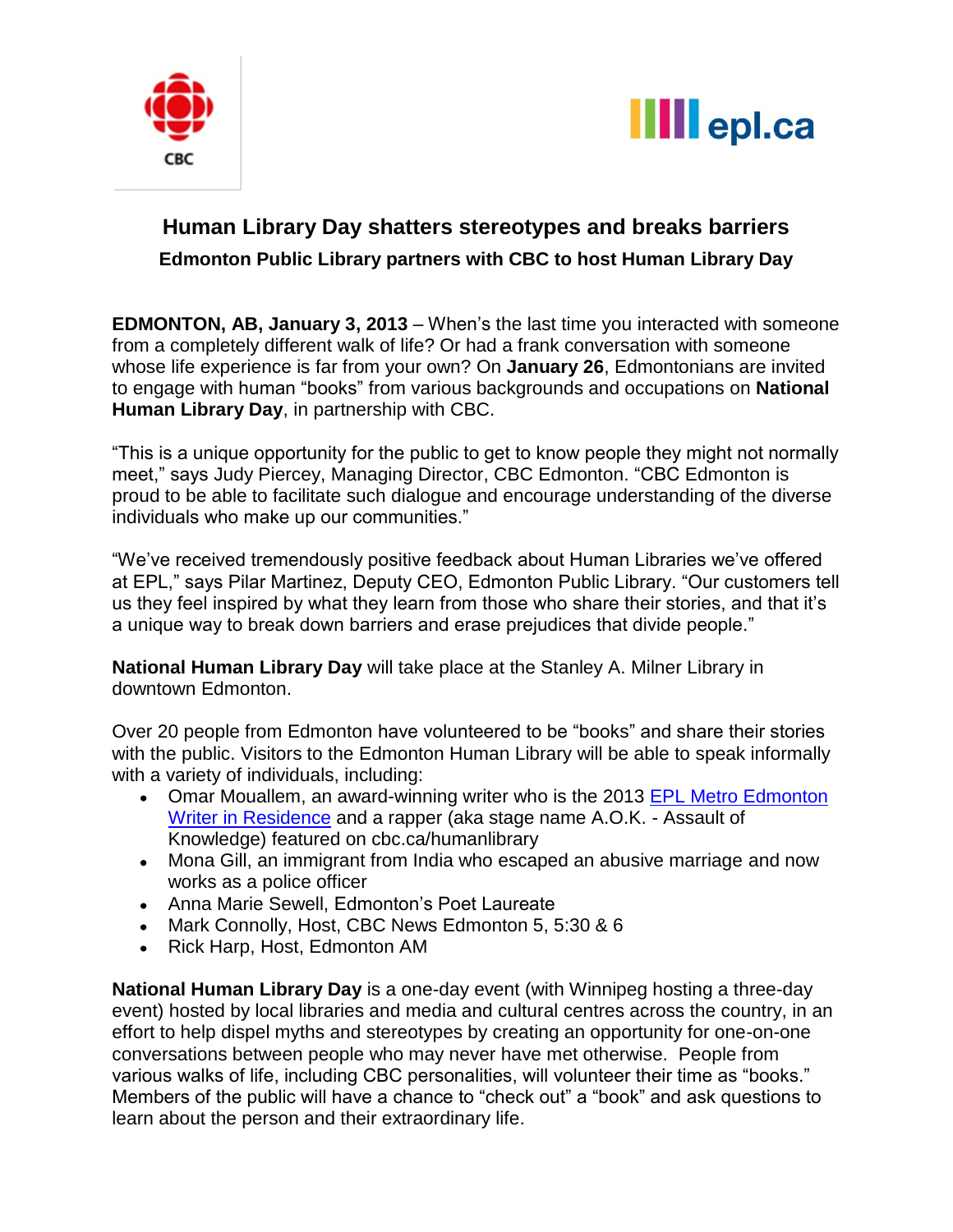



# **Human Library Day shatters stereotypes and breaks barriers Edmonton Public Library partners with CBC to host Human Library Day**

**EDMONTON, AB, January 3, 2013** – When's the last time you interacted with someone from a completely different walk of life? Or had a frank conversation with someone whose life experience is far from your own? On **January 26**, Edmontonians are invited to engage with human "books" from various backgrounds and occupations on **National Human Library Day**, in partnership with CBC.

"This is a unique opportunity for the public to get to know people they might not normally meet," says Judy Piercey, Managing Director, CBC Edmonton. "CBC Edmonton is proud to be able to facilitate such dialogue and encourage understanding of the diverse individuals who make up our communities."

"We've received tremendously positive feedback about Human Libraries we've offered at EPL," says Pilar Martinez, Deputy CEO, Edmonton Public Library. "Our customers tell us they feel inspired by what they learn from those who share their stories, and that it's a unique way to break down barriers and erase prejudices that divide people."

**National Human Library Day** will take place at the Stanley A. Milner Library in downtown Edmonton.

Over 20 people from Edmonton have volunteered to be "books" and share their stories with the public. Visitors to the Edmonton Human Library will be able to speak informally with a variety of individuals, including:

- Omar Mouallem, an award-winning writer who is the 2013 EPL Metro Edmonton [Writer in Residence](http://www.epl.ca/writer-in-residence) and a rapper (aka stage name A.O.K. - Assault of Knowledge) featured on cbc.ca/humanlibrary
- Mona Gill, an immigrant from India who escaped an abusive marriage and now works as a police officer
- Anna Marie Sewell, Edmonton's Poet Laureate
- Mark Connolly, Host, CBC News Edmonton 5, 5:30 & 6
- Rick Harp, Host, Edmonton AM

**National Human Library Day** is a one-day event (with Winnipeg hosting a three-day event) hosted by local libraries and media and cultural centres across the country, in an effort to help dispel myths and stereotypes by creating an opportunity for one-on-one conversations between people who may never have met otherwise. People from various walks of life, including CBC personalities, will volunteer their time as "books." Members of the public will have a chance to "check out" a "book" and ask questions to learn about the person and their extraordinary life.